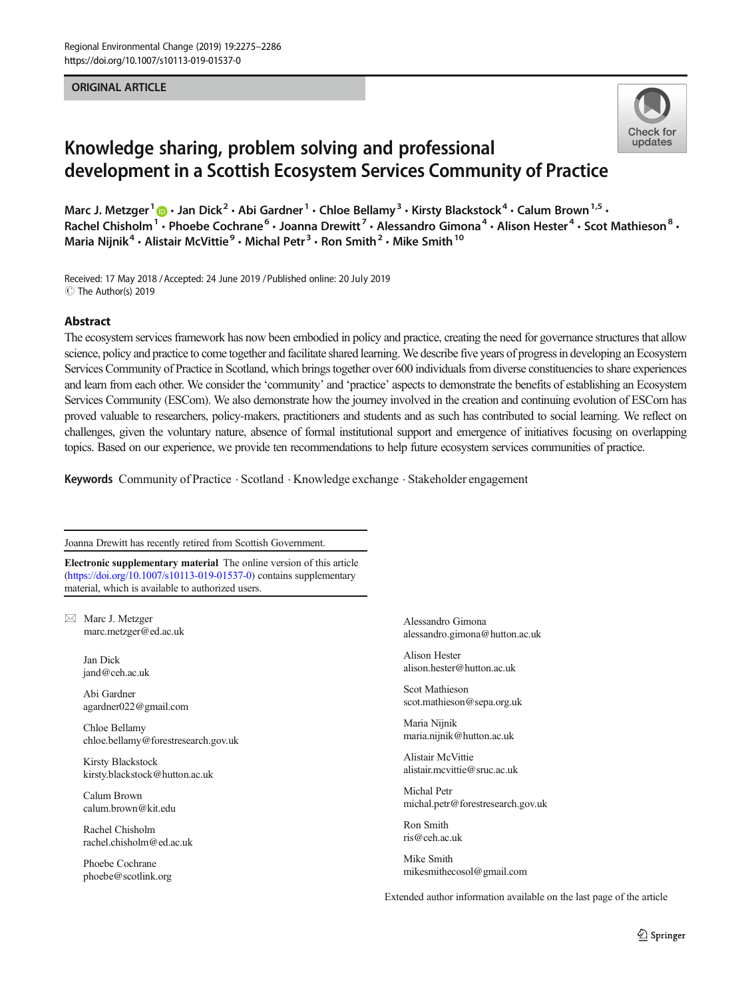#### ORIGINAL ARTICLE



# Knowledge sharing, problem solving and professional development in a Scottish Ecosystem Services Community of Practice

Marc J. Metzger<sup>1</sup>  $\cdot$  Jan Dick<sup>2</sup>  $\cdot$  Abi Gardner<sup>1</sup>  $\cdot$  Chloe Bellamy<sup>3</sup>  $\cdot$  Kirsty Blackstock<sup>4</sup>  $\cdot$  Calum Brown<sup>1,5</sup>  $\cdot$ Rachel Chisholm<sup>1</sup> · Phoebe Cochrane<sup>6</sup> · Joanna Drewitt<sup>7</sup> · Alessandro Gimona<sup>4</sup> · Alison Hester<sup>4</sup> · Scot Mathieson<sup>8</sup> · Maria Nijnik<sup>4</sup> • Alistair McVittie<sup>9</sup> • Michal Petr<sup>3</sup> • Ron Smith<sup>2</sup> • Mike Smith<sup>10</sup>

Received: 17 May 2018 / Accepted: 24 June 2019 /Published online: 20 July 2019 $\circledcirc$  The Author(s) 2019

#### Abstract

The ecosystem services framework has now been embodied in policy and practice, creating the need for governance structures that allow science, policy and practice to come together and facilitate shared learning. We describe five years of progress in developing an Ecosystem Services Community of Practice in Scotland, which brings together over 600 individuals from diverse constituencies to share experiences and learn from each other. We consider the 'community' and 'practice' aspects to demonstrate the benefits of establishing an Ecosystem Services Community (ESCom). We also demonstrate how the journey involved in the creation and continuing evolution of ESCom has proved valuable to researchers, policy-makers, practitioners and students and as such has contributed to social learning. We reflect on challenges, given the voluntary nature, absence of formal institutional support and emergence of initiatives focusing on overlapping topics. Based on our experience, we provide ten recommendations to help future ecosystem services communities of practice.

Keywords Community of Practice . Scotland . Knowledge exchange . Stakeholder engagement

Joanna Drewitt has recently retired from Scottish Government.

Electronic supplementary material The online version of this article (<https://doi.org/10.1007/s10113-019-01537-0>) contains supplementary material, which is available to authorized users.

 $\boxtimes$  Marc J. Metzger [marc.metzger@ed.ac.uk](mailto:marc.metzger@ed.ac.uk)

> Jan Dick jand@ceh.ac.uk

Abi Gardner agardner022@gmail.com

Chloe Bellamy chloe.bellamy@forestresearch.gov.uk

Kirsty Blackstock kirsty.blackstock@hutton.ac.uk

Calum Brown calum.brown@kit.edu

Rachel Chisholm rachel.chisholm@ed.ac.uk

Phoebe Cochrane phoebe@scotlink.org Alessandro Gimona alessandro.gimona@hutton.ac.uk

Alison Hester alison.hester@hutton.ac.uk

Scot Mathieson scot.mathieson@sepa.org.uk

Maria Nijnik maria.nijnik@hutton.ac.uk

Alistair McVittie alistair.mcvittie@sruc.ac.uk

Michal Petr michal.petr@forestresearch.gov.uk

Ron Smith ris@ceh.ac.uk

Mike Smith mikesmithecosol@gmail.com

Extended author information available on the last page of the article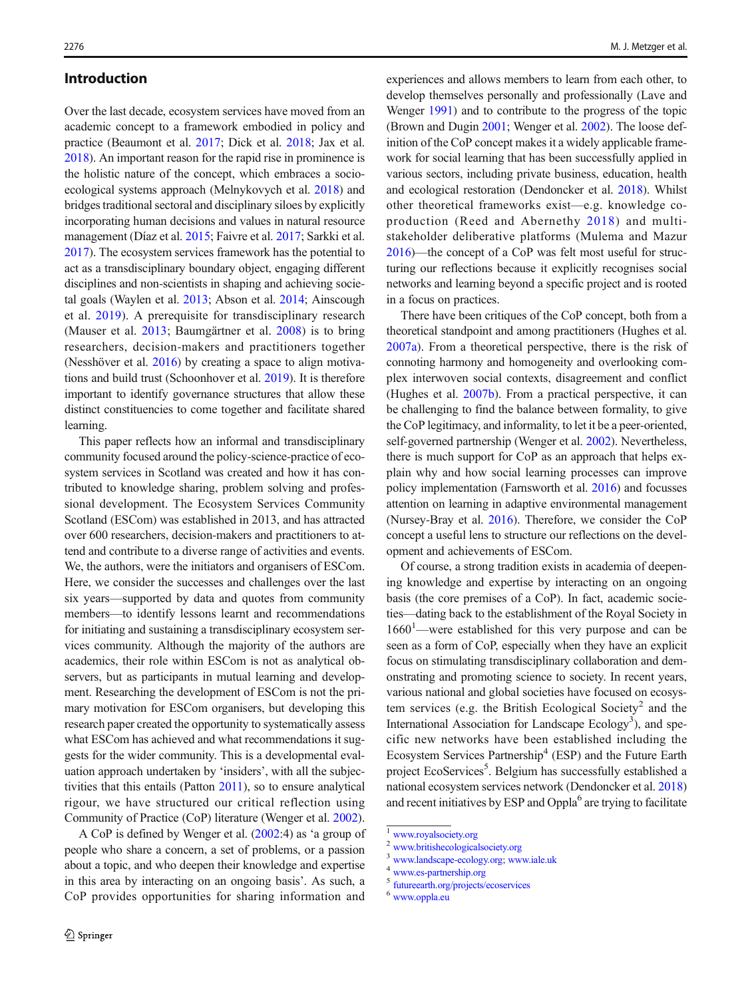#### Introduction

Over the last decade, ecosystem services have moved from an academic concept to a framework embodied in policy and practice (Beaumont et al. [2017;](#page-10-0) Dick et al. [2018](#page-10-0); Jax et al. [2018\)](#page-10-0). An important reason for the rapid rise in prominence is the holistic nature of the concept, which embraces a socioecological systems approach (Melnykovych et al. [2018\)](#page-10-0) and bridges traditional sectoral and disciplinary siloes by explicitly incorporating human decisions and values in natural resource management (Díaz et al. [2015;](#page-10-0) Faivre et al. [2017](#page-10-0); Sarkki et al. [2017\)](#page-11-0). The ecosystem services framework has the potential to act as a transdisciplinary boundary object, engaging different disciplines and non-scientists in shaping and achieving societal goals (Waylen et al. [2013;](#page-11-0) Abson et al. [2014](#page-9-0); Ainscough et al. [2019](#page-9-0)). A prerequisite for transdisciplinary research (Mauser et al. [2013](#page-10-0); Baumgärtner et al. [2008](#page-10-0)) is to bring researchers, decision-makers and practitioners together (Nesshöver et al. [2016](#page-10-0)) by creating a space to align motivations and build trust (Schoonhover et al. [2019](#page-11-0)). It is therefore important to identify governance structures that allow these distinct constituencies to come together and facilitate shared learning.

This paper reflects how an informal and transdisciplinary community focused around the policy-science-practice of ecosystem services in Scotland was created and how it has contributed to knowledge sharing, problem solving and professional development. The Ecosystem Services Community Scotland (ESCom) was established in 2013, and has attracted over 600 researchers, decision-makers and practitioners to attend and contribute to a diverse range of activities and events. We, the authors, were the initiators and organisers of ESCom. Here, we consider the successes and challenges over the last six years—supported by data and quotes from community members—to identify lessons learnt and recommendations for initiating and sustaining a transdisciplinary ecosystem services community. Although the majority of the authors are academics, their role within ESCom is not as analytical observers, but as participants in mutual learning and development. Researching the development of ESCom is not the primary motivation for ESCom organisers, but developing this research paper created the opportunity to systematically assess what ESCom has achieved and what recommendations it suggests for the wider community. This is a developmental evaluation approach undertaken by 'insiders', with all the subjectivities that this entails (Patton [2011\)](#page-11-0), so to ensure analytical rigour, we have structured our critical reflection using Community of Practice (CoP) literature (Wenger et al. [2002\)](#page-11-0).

A CoP is defined by Wenger et al. [\(2002:](#page-11-0)4) as 'a group of people who share a concern, a set of problems, or a passion about a topic, and who deepen their knowledge and expertise in this area by interacting on an ongoing basis'. As such, a CoP provides opportunities for sharing information and experiences and allows members to learn from each other, to develop themselves personally and professionally (Lave and Wenger [1991](#page-10-0)) and to contribute to the progress of the topic (Brown and Dugin [2001](#page-10-0); Wenger et al. [2002](#page-11-0)). The loose definition of the CoP concept makes it a widely applicable framework for social learning that has been successfully applied in various sectors, including private business, education, health and ecological restoration (Dendoncker et al. [2018](#page-10-0)). Whilst other theoretical frameworks exist—e.g. knowledge coproduction (Reed and Abernethy [2018\)](#page-11-0) and multistakeholder deliberative platforms (Mulema and Mazur [2016\)](#page-10-0)—the concept of a CoP was felt most useful for structuring our reflections because it explicitly recognises social networks and learning beyond a specific project and is rooted in a focus on practices.

There have been critiques of the CoP concept, both from a theoretical standpoint and among practitioners (Hughes et al. [2007a](#page-10-0)). From a theoretical perspective, there is the risk of connoting harmony and homogeneity and overlooking complex interwoven social contexts, disagreement and conflict (Hughes et al. [2007b\)](#page-10-0). From a practical perspective, it can be challenging to find the balance between formality, to give the CoP legitimacy, and informality, to let it be a peer-oriented, self-governed partnership (Wenger et al. [2002\)](#page-11-0). Nevertheless, there is much support for CoP as an approach that helps explain why and how social learning processes can improve policy implementation (Farnsworth et al. [2016](#page-10-0)) and focusses attention on learning in adaptive environmental management (Nursey-Bray et al. [2016\)](#page-10-0). Therefore, we consider the CoP concept a useful lens to structure our reflections on the development and achievements of ESCom.

Of course, a strong tradition exists in academia of deepening knowledge and expertise by interacting on an ongoing basis (the core premises of a CoP). In fact, academic societies—dating back to the establishment of the Royal Society in 1660<sup>1</sup>—were established for this very purpose and can be seen as a form of CoP, especially when they have an explicit focus on stimulating transdisciplinary collaboration and demonstrating and promoting science to society. In recent years, various national and global societies have focused on ecosystem services (e.g. the British Ecological Society<sup>2</sup> and the International Association for Landscape Ecology<sup>3</sup>), and specific new networks have been established including the Ecosystem Services Partnership<sup>4</sup> (ESP) and the Future Earth project EcoServices<sup>5</sup>. Belgium has successfully established a national ecosystem services network (Dendoncker et al. [2018](#page-10-0)) and recent initiatives by ESP and Oppla<sup>6</sup> are trying to facilitate

- <sup>2</sup> [www.britishecologicalsociety.org](http://www.britishecologicalsociety.org)
- $\frac{3}{4}$  [www.landscape-ecology.org](http://www.landscape-ecology.org); [www.iale.uk](http://www.iale.uk)<br> $\frac{4}{5}$  [www.es-partnership.org](http://www.es-partnership.org)

<sup>5</sup> [futureearth.org/projects/ecoservices](http://futureearth.org/projects/ecoservices)

 $\frac{1}{2}$  [www.royalsociety.org](http://www.royalsociety.org)

<sup>6</sup> [www.oppla.eu](http://www.oppla.eu)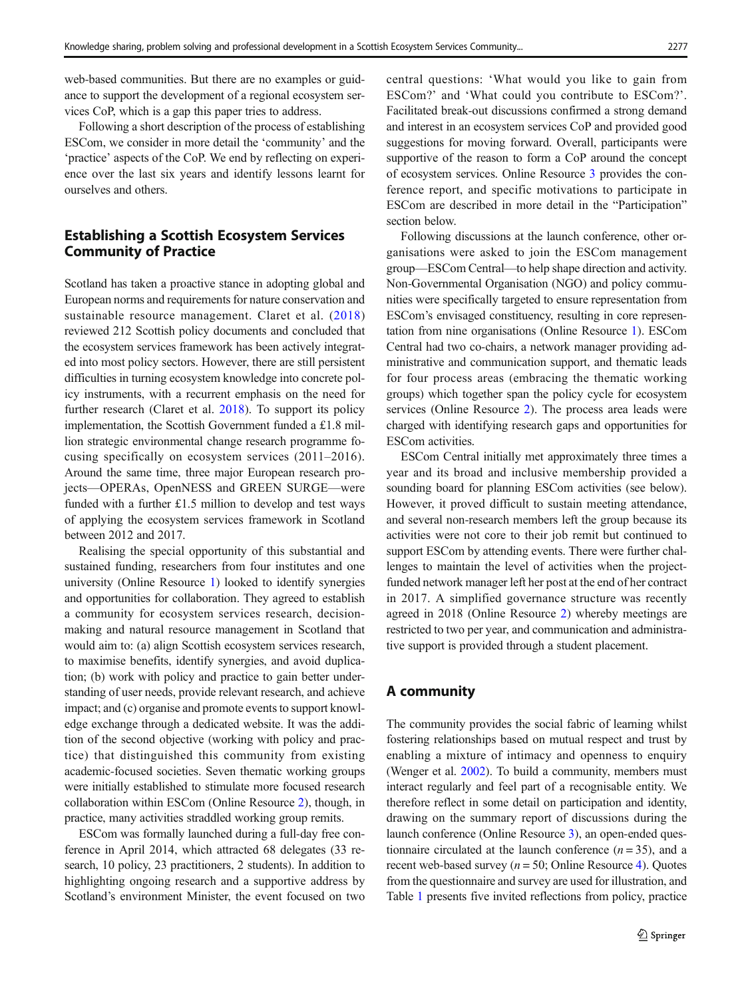web-based communities. But there are no examples or guidance to support the development of a regional ecosystem services CoP, which is a gap this paper tries to address.

Following a short description of the process of establishing ESCom, we consider in more detail the 'community' and the 'practice' aspects of the CoP. We end by reflecting on experience over the last six years and identify lessons learnt for ourselves and others.

# Establishing a Scottish Ecosystem Services Community of Practice

Scotland has taken a proactive stance in adopting global and European norms and requirements for nature conservation and sustainable resource management. Claret et al. ([2018\)](#page-10-0) reviewed 212 Scottish policy documents and concluded that the ecosystem services framework has been actively integrated into most policy sectors. However, there are still persistent difficulties in turning ecosystem knowledge into concrete policy instruments, with a recurrent emphasis on the need for further research (Claret et al. [2018\)](#page-10-0). To support its policy implementation, the Scottish Government funded a £1.8 million strategic environmental change research programme focusing specifically on ecosystem services (2011–2016). Around the same time, three major European research projects—OPERAs, OpenNESS and GREEN SURGE—were funded with a further £1.5 million to develop and test ways of applying the ecosystem services framework in Scotland between 2012 and 2017.

Realising the special opportunity of this substantial and sustained funding, researchers from four institutes and one university (Online Resource 1) looked to identify synergies and opportunities for collaboration. They agreed to establish a community for ecosystem services research, decisionmaking and natural resource management in Scotland that would aim to: (a) align Scottish ecosystem services research, to maximise benefits, identify synergies, and avoid duplication; (b) work with policy and practice to gain better understanding of user needs, provide relevant research, and achieve impact; and (c) organise and promote events to support knowledge exchange through a dedicated website. It was the addition of the second objective (working with policy and practice) that distinguished this community from existing academic-focused societies. Seven thematic working groups were initially established to stimulate more focused research collaboration within ESCom (Online Resource 2), though, in practice, many activities straddled working group remits.

ESCom was formally launched during a full-day free conference in April 2014, which attracted 68 delegates (33 research, 10 policy, 23 practitioners, 2 students). In addition to highlighting ongoing research and a supportive address by Scotland's environment Minister, the event focused on two central questions: 'What would you like to gain from ESCom?' and 'What could you contribute to ESCom?'. Facilitated break-out discussions confirmed a strong demand and interest in an ecosystem services CoP and provided good suggestions for moving forward. Overall, participants were supportive of the reason to form a CoP around the concept of ecosystem services. Online Resource 3 provides the conference report, and specific motivations to participate in ESCom are described in more detail in the "Participation" section below.

Following discussions at the launch conference, other organisations were asked to join the ESCom management group—ESCom Central—to help shape direction and activity. Non-Governmental Organisation (NGO) and policy communities were specifically targeted to ensure representation from ESCom's envisaged constituency, resulting in core representation from nine organisations (Online Resource 1). ESCom Central had two co-chairs, a network manager providing administrative and communication support, and thematic leads for four process areas (embracing the thematic working groups) which together span the policy cycle for ecosystem services (Online Resource 2). The process area leads were charged with identifying research gaps and opportunities for ESCom activities.

ESCom Central initially met approximately three times a year and its broad and inclusive membership provided a sounding board for planning ESCom activities (see below). However, it proved difficult to sustain meeting attendance, and several non-research members left the group because its activities were not core to their job remit but continued to support ESCom by attending events. There were further challenges to maintain the level of activities when the projectfunded network manager left her post at the end of her contract in 2017. A simplified governance structure was recently agreed in 2018 (Online Resource 2) whereby meetings are restricted to two per year, and communication and administrative support is provided through a student placement.

# A community

The community provides the social fabric of learning whilst fostering relationships based on mutual respect and trust by enabling a mixture of intimacy and openness to enquiry (Wenger et al. [2002\)](#page-11-0). To build a community, members must interact regularly and feel part of a recognisable entity. We therefore reflect in some detail on participation and identity, drawing on the summary report of discussions during the launch conference (Online Resource 3), an open-ended questionnaire circulated at the launch conference  $(n = 35)$ , and a recent web-based survey ( $n = 50$ ; Online Resource 4). Quotes from the questionnaire and survey are used for illustration, and Table [1](#page-3-0) presents five invited reflections from policy, practice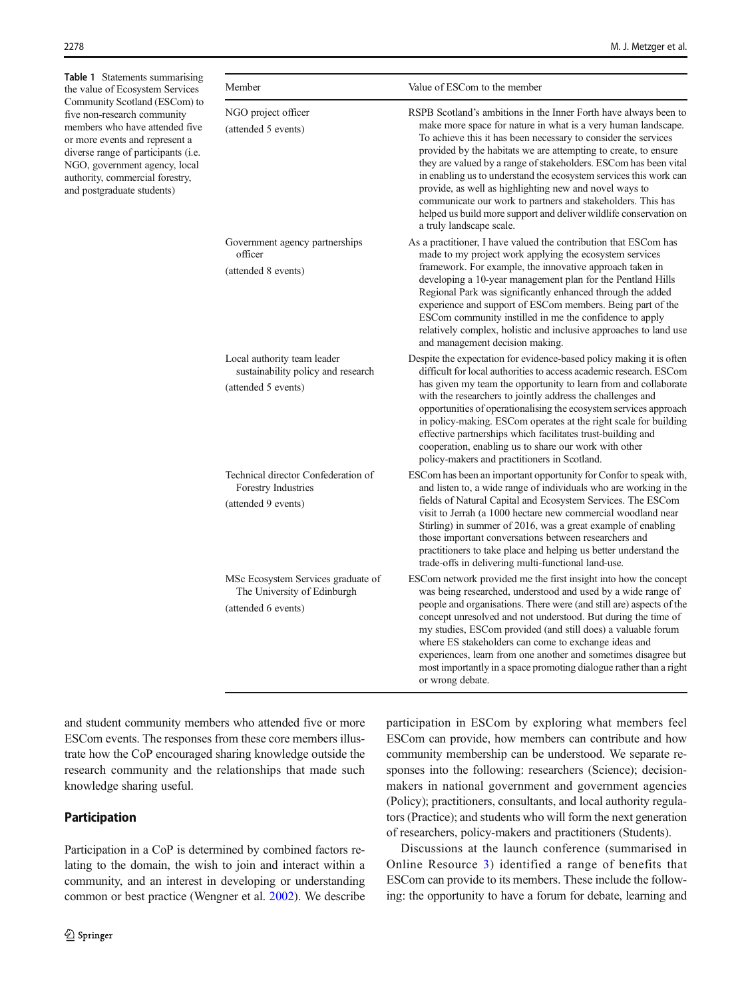<span id="page-3-0"></span>Table 1 Statements summarising the value of Ecosystem Services Community Scotland (ESCom) to five non-research community members who have attended five or more events and represent a diverse range of participants (i.e. NGO, government agency, local authority, commercial forestry, and postgraduate students)

| Member                                                                                   | Value of ESCom to the member                                                                                                                                                                                                                                                                                                                                                                                                                                                                                                                                                                                                              |  |  |  |  |
|------------------------------------------------------------------------------------------|-------------------------------------------------------------------------------------------------------------------------------------------------------------------------------------------------------------------------------------------------------------------------------------------------------------------------------------------------------------------------------------------------------------------------------------------------------------------------------------------------------------------------------------------------------------------------------------------------------------------------------------------|--|--|--|--|
| NGO project officer<br>(attended 5 events)                                               | RSPB Scotland's ambitions in the Inner Forth have always been to<br>make more space for nature in what is a very human landscape.<br>To achieve this it has been necessary to consider the services<br>provided by the habitats we are attempting to create, to ensure<br>they are valued by a range of stakeholders. ESCom has been vital<br>in enabling us to understand the ecosystem services this work can<br>provide, as well as highlighting new and novel ways to<br>communicate our work to partners and stakeholders. This has<br>helped us build more support and deliver wildlife conservation on<br>a truly landscape scale. |  |  |  |  |
| Government agency partnerships<br>officer<br>(attended 8 events)                         | As a practitioner, I have valued the contribution that ESCom has<br>made to my project work applying the ecosystem services<br>framework. For example, the innovative approach taken in<br>developing a 10-year management plan for the Pentland Hills<br>Regional Park was significantly enhanced through the added<br>experience and support of ESCom members. Being part of the<br>ESCom community instilled in me the confidence to apply<br>relatively complex, holistic and inclusive approaches to land use<br>and management decision making.                                                                                     |  |  |  |  |
| Local authority team leader<br>sustainability policy and research<br>(attended 5 events) | Despite the expectation for evidence-based policy making it is often<br>difficult for local authorities to access academic research. ESCom<br>has given my team the opportunity to learn from and collaborate<br>with the researchers to jointly address the challenges and<br>opportunities of operationalising the ecosystem services approach<br>in policy-making. ESCom operates at the right scale for building<br>effective partnerships which facilitates trust-building and<br>cooperation, enabling us to share our work with other<br>policy-makers and practitioners in Scotland.                                              |  |  |  |  |
| Technical director Confederation of<br>Forestry Industries<br>(attended 9 events)        | ESCom has been an important opportunity for Confor to speak with,<br>and listen to, a wide range of individuals who are working in the<br>fields of Natural Capital and Ecosystem Services. The ESCom<br>visit to Jerrah (a 1000 hectare new commercial woodland near<br>Stirling) in summer of 2016, was a great example of enabling<br>those important conversations between researchers and<br>practitioners to take place and helping us better understand the<br>trade-offs in delivering multi-functional land-use.                                                                                                                 |  |  |  |  |
| MSc Ecosystem Services graduate of<br>The University of Edinburgh<br>(attended 6 events) | ESCom network provided me the first insight into how the concept<br>was being researched, understood and used by a wide range of<br>people and organisations. There were (and still are) aspects of the<br>concept unresolved and not understood. But during the time of<br>my studies, ESCom provided (and still does) a valuable forum<br>where ES stakeholders can come to exchange ideas and<br>experiences, learn from one another and sometimes disagree but<br>most importantly in a space promoting dialogue rather than a right<br>or wrong debate.                                                                              |  |  |  |  |

and student community members who attended five or more ESCom events. The responses from these core members illustrate how the CoP encouraged sharing knowledge outside the research community and the relationships that made such knowledge sharing useful.

# Participation

Participation in a CoP is determined by combined factors relating to the domain, the wish to join and interact within a community, and an interest in developing or understanding common or best practice (Wengner et al. [2002\)](#page-11-0). We describe participation in ESCom by exploring what members feel ESCom can provide, how members can contribute and how community membership can be understood. We separate responses into the following: researchers (Science); decisionmakers in national government and government agencies (Policy); practitioners, consultants, and local authority regulators (Practice); and students who will form the next generation of researchers, policy-makers and practitioners (Students).

Discussions at the launch conference (summarised in Online Resource 3) identified a range of benefits that ESCom can provide to its members. These include the following: the opportunity to have a forum for debate, learning and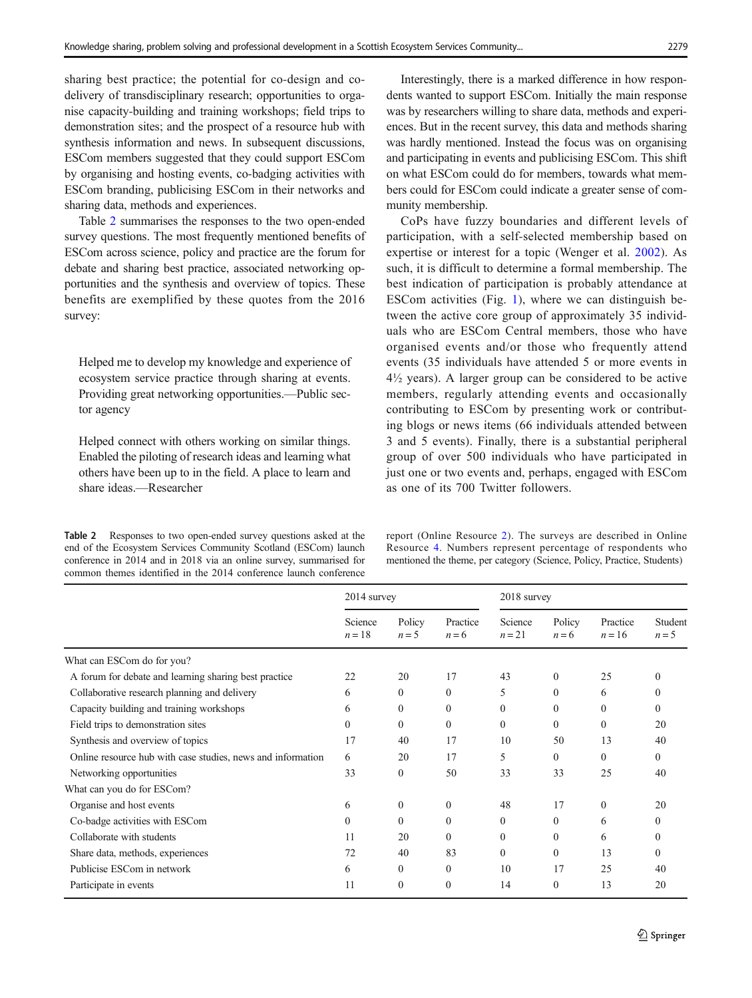<span id="page-4-0"></span>sharing best practice; the potential for co-design and codelivery of transdisciplinary research; opportunities to organise capacity-building and training workshops; field trips to demonstration sites; and the prospect of a resource hub with synthesis information and news. In subsequent discussions, ESCom members suggested that they could support ESCom by organising and hosting events, co-badging activities with ESCom branding, publicising ESCom in their networks and sharing data, methods and experiences.

Table 2 summarises the responses to the two open-ended survey questions. The most frequently mentioned benefits of ESCom across science, policy and practice are the forum for debate and sharing best practice, associated networking opportunities and the synthesis and overview of topics. These benefits are exemplified by these quotes from the 2016 survey:

Helped me to develop my knowledge and experience of ecosystem service practice through sharing at events. Providing great networking opportunities.—Public sector agency

Helped connect with others working on similar things. Enabled the piloting of research ideas and learning what others have been up to in the field. A place to learn and share ideas.—Researcher

Table 2 Responses to two open-ended survey questions asked at the end of the Ecosystem Services Community Scotland (ESCom) launch conference in 2014 and in 2018 via an online survey, summarised for common themes identified in the 2014 conference launch conference

Interestingly, there is a marked difference in how respondents wanted to support ESCom. Initially the main response was by researchers willing to share data, methods and experiences. But in the recent survey, this data and methods sharing was hardly mentioned. Instead the focus was on organising and participating in events and publicising ESCom. This shift on what ESCom could do for members, towards what members could for ESCom could indicate a greater sense of community membership.

CoPs have fuzzy boundaries and different levels of participation, with a self-selected membership based on expertise or interest for a topic (Wenger et al. [2002](#page-11-0)). As such, it is difficult to determine a formal membership. The best indication of participation is probably attendance at ESCom activities (Fig. [1\)](#page-5-0), where we can distinguish between the active core group of approximately 35 individuals who are ESCom Central members, those who have organised events and/or those who frequently attend events (35 individuals have attended 5 or more events in 4½ years). A larger group can be considered to be active members, regularly attending events and occasionally contributing to ESCom by presenting work or contributing blogs or news items (66 individuals attended between 3 and 5 events). Finally, there is a substantial peripheral group of over 500 individuals who have participated in just one or two events and, perhaps, engaged with ESCom as one of its 700 Twitter followers.

report (Online Resource 2). The surveys are described in Online Resource 4. Numbers represent percentage of respondents who mentioned the theme, per category (Science, Policy, Practice, Students)

|                                                             | 2014 survey       |                   |                     | 2018 survey       |                   |                      |                    |
|-------------------------------------------------------------|-------------------|-------------------|---------------------|-------------------|-------------------|----------------------|--------------------|
|                                                             | Science<br>$n=18$ | Policy<br>$n = 5$ | Practice<br>$n = 6$ | Science<br>$n=21$ | Policy<br>$n = 6$ | Practice<br>$n = 16$ | Student<br>$n = 5$ |
| What can ESCom do for you?                                  |                   |                   |                     |                   |                   |                      |                    |
| A forum for debate and learning sharing best practice       | 22                | 20                | 17                  | 43                | $\Omega$          | 25                   | 0                  |
| Collaborative research planning and delivery                | 6                 | $\theta$          | $\theta$            | 5                 | $\theta$          | 6                    | $\theta$           |
| Capacity building and training workshops                    | 6                 | $\mathbf{0}$      | $\theta$            | $\mathbf{0}$      | $\theta$          | $\Omega$             | 0                  |
| Field trips to demonstration sites                          | $\mathbf{0}$      | $\mathbf{0}$      | $\mathbf{0}$        | $\mathbf{0}$      | 0                 | $\mathbf{0}$         | 20                 |
| Synthesis and overview of topics                            | 17                | 40                | 17                  | 10                | 50                | 13                   | 40                 |
| Online resource hub with case studies, news and information | 6                 | 20                | 17                  | 5                 | $\Omega$          | $\Omega$             | $\theta$           |
| Networking opportunities                                    | 33                | $\mathbf{0}$      | 50                  | 33                | 33                | 25                   | 40                 |
| What can you do for ESCom?                                  |                   |                   |                     |                   |                   |                      |                    |
| Organise and host events                                    | 6                 | $\mathbf{0}$      | $\Omega$            | 48                | 17                | $\theta$             | 20                 |
| Co-badge activities with ESCom                              | $\theta$          | $\theta$          | $\theta$            | $\theta$          | $\Omega$          | 6                    | 0                  |
| Collaborate with students                                   | 11                | 20                | $\theta$            | $\mathbf{0}$      | $\theta$          | 6                    | $\theta$           |
| Share data, methods, experiences                            | 72                | 40                | 83                  | $\Omega$          | $\Omega$          | 13                   | $\Omega$           |
| Publicise ESCom in network                                  | 6                 | $\mathbf{0}$      | $\Omega$            | 10                | 17                | 25                   | 40                 |
| Participate in events                                       | 11                | $\mathbf{0}$      | $\mathbf{0}$        | 14                | $\Omega$          | 13                   | 20                 |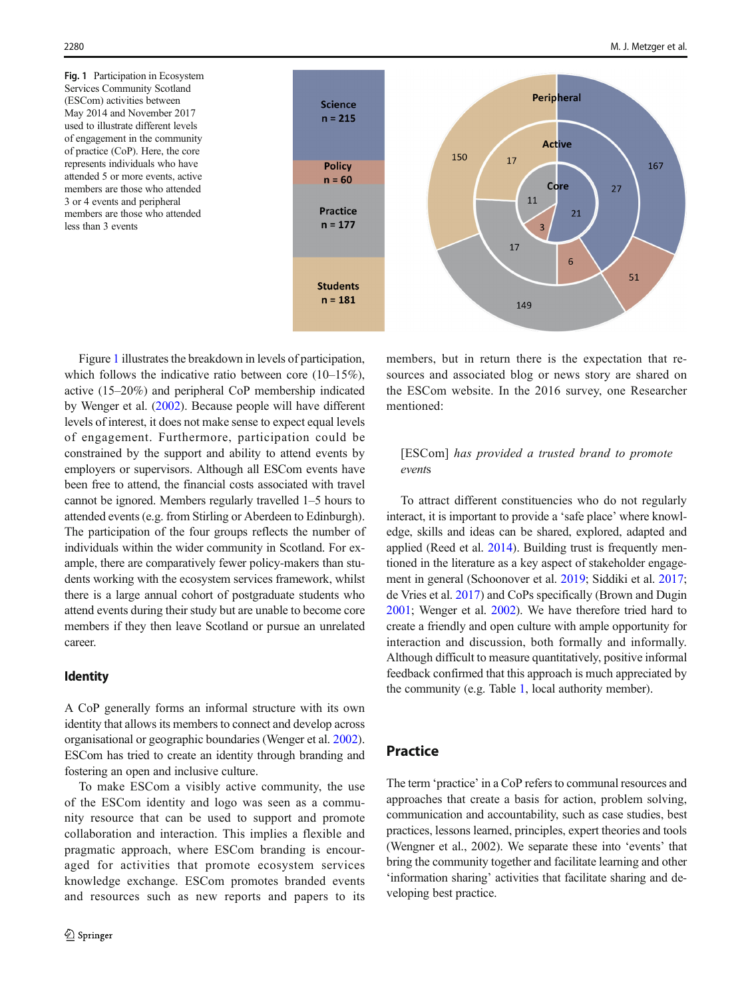<span id="page-5-0"></span>Fig. 1 Participation in Ecosystem Services Community Scotland (ESCom) activities between May 2014 and November 2017 used to illustrate different levels of engagement in the community of practice (CoP). Here, the core represents individuals who have attended 5 or more events, active members are those who attended 3 or 4 events and peripheral members are those who attended less than 3 events



Figure 1 illustrates the breakdown in levels of participation, which follows the indicative ratio between core (10–15%), active (15–20%) and peripheral CoP membership indicated by Wenger et al. [\(2002\)](#page-11-0). Because people will have different levels of interest, it does not make sense to expect equal levels of engagement. Furthermore, participation could be constrained by the support and ability to attend events by employers or supervisors. Although all ESCom events have been free to attend, the financial costs associated with travel cannot be ignored. Members regularly travelled 1–5 hours to attended events (e.g. from Stirling or Aberdeen to Edinburgh). The participation of the four groups reflects the number of individuals within the wider community in Scotland. For example, there are comparatively fewer policy-makers than students working with the ecosystem services framework, whilst there is a large annual cohort of postgraduate students who attend events during their study but are unable to become core members if they then leave Scotland or pursue an unrelated career.

# Identity

A CoP generally forms an informal structure with its own identity that allows its members to connect and develop across organisational or geographic boundaries (Wenger et al. [2002\)](#page-11-0). ESCom has tried to create an identity through branding and fostering an open and inclusive culture.

To make ESCom a visibly active community, the use of the ESCom identity and logo was seen as a community resource that can be used to support and promote collaboration and interaction. This implies a flexible and pragmatic approach, where ESCom branding is encouraged for activities that promote ecosystem services knowledge exchange. ESCom promotes branded events and resources such as new reports and papers to its members, but in return there is the expectation that resources and associated blog or news story are shared on the ESCom website. In the 2016 survey, one Researcher mentioned:

## [ESCom] has provided a trusted brand to promote events

To attract different constituencies who do not regularly interact, it is important to provide a 'safe place' where knowledge, skills and ideas can be shared, explored, adapted and applied (Reed et al. [2014](#page-11-0)). Building trust is frequently mentioned in the literature as a key aspect of stakeholder engagement in general (Schoonover et al. [2019;](#page-11-0) Siddiki et al. [2017;](#page-11-0) de Vries et al. [2017](#page-10-0)) and CoPs specifically (Brown and Dugin [2001;](#page-10-0) Wenger et al. [2002\)](#page-11-0). We have therefore tried hard to create a friendly and open culture with ample opportunity for interaction and discussion, both formally and informally. Although difficult to measure quantitatively, positive informal feedback confirmed that this approach is much appreciated by the community (e.g. Table [1](#page-3-0), local authority member).

# Practice

The term 'practice' in a CoP refers to communal resources and approaches that create a basis for action, problem solving, communication and accountability, such as case studies, best practices, lessons learned, principles, expert theories and tools (Wengner et al., 2002). We separate these into 'events' that bring the community together and facilitate learning and other 'information sharing' activities that facilitate sharing and developing best practice.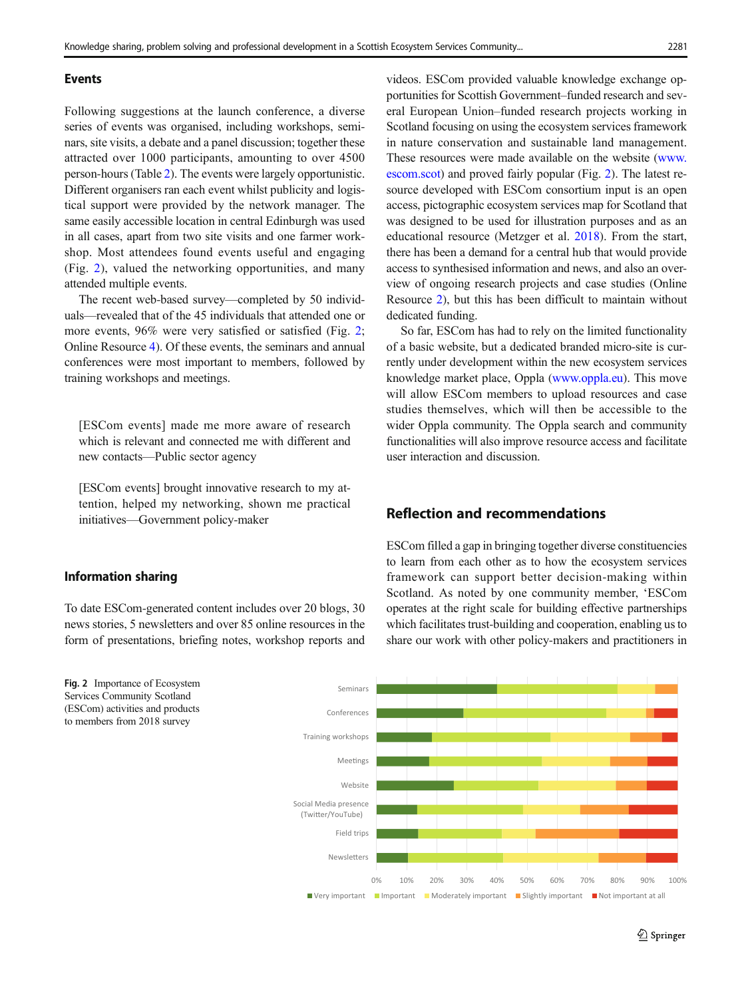#### <span id="page-6-0"></span>Events

Following suggestions at the launch conference, a diverse series of events was organised, including workshops, seminars, site visits, a debate and a panel discussion; together these attracted over 1000 participants, amounting to over 4500 person-hours (Table [2\)](#page-4-0). The events were largely opportunistic. Different organisers ran each event whilst publicity and logistical support were provided by the network manager. The same easily accessible location in central Edinburgh was used in all cases, apart from two site visits and one farmer workshop. Most attendees found events useful and engaging (Fig. 2), valued the networking opportunities, and many attended multiple events.

The recent web-based survey—completed by 50 individuals—revealed that of the 45 individuals that attended one or more events, 96% were very satisfied or satisfied (Fig. 2; Online Resource 4). Of these events, the seminars and annual conferences were most important to members, followed by training workshops and meetings.

[ESCom events] made me more aware of research which is relevant and connected me with different and new contacts—Public sector agency

[ESCom events] brought innovative research to my attention, helped my networking, shown me practical initiatives—Government policy-maker

# Information sharing

To date ESCom-generated content includes over 20 blogs, 30 news stories, 5 newsletters and over 85 online resources in the form of presentations, briefing notes, workshop reports and videos. ESCom provided valuable knowledge exchange opportunities for Scottish Government–funded research and several European Union–funded research projects working in Scotland focusing on using the ecosystem services framework in nature conservation and sustainable land management. These resources were made available on the website [\(www.](http://www.escom.scot) [escom.scot\)](http://www.escom.scot) and proved fairly popular (Fig. 2). The latest resource developed with ESCom consortium input is an open access, pictographic ecosystem services map for Scotland that was designed to be used for illustration purposes and as an educational resource (Metzger et al. [2018](#page-10-0)). From the start, there has been a demand for a central hub that would provide access to synthesised information and news, and also an overview of ongoing research projects and case studies (Online Resource 2), but this has been difficult to maintain without dedicated funding.

So far, ESCom has had to rely on the limited functionality of a basic website, but a dedicated branded micro-site is currently under development within the new ecosystem services knowledge market place, Oppla [\(www.oppla.eu\)](http://www.oppla.eu). This move will allow ESCom members to upload resources and case studies themselves, which will then be accessible to the wider Oppla community. The Oppla search and community functionalities will also improve resource access and facilitate user interaction and discussion.

# Reflection and recommendations

ESCom filled a gap in bringing together diverse constituencies to learn from each other as to how the ecosystem services framework can support better decision-making within Scotland. As noted by one community member, 'ESCom operates at the right scale for building effective partnerships which facilitates trust-building and cooperation, enabling us to share our work with other policy-makers and practitioners in

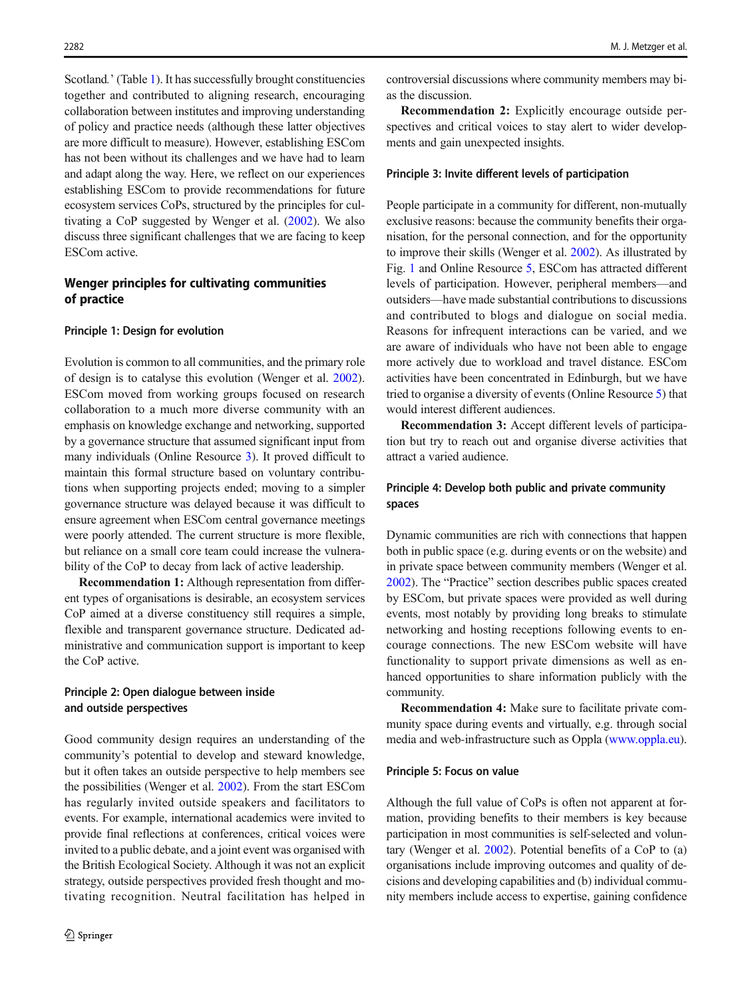Scotland.' (Table [1\)](#page-3-0). It has successfully brought constituencies together and contributed to aligning research, encouraging collaboration between institutes and improving understanding of policy and practice needs (although these latter objectives are more difficult to measure). However, establishing ESCom has not been without its challenges and we have had to learn and adapt along the way. Here, we reflect on our experiences establishing ESCom to provide recommendations for future ecosystem services CoPs, structured by the principles for cultivating a CoP suggested by Wenger et al. [\(2002\)](#page-11-0). We also discuss three significant challenges that we are facing to keep ESCom active.

## Wenger principles for cultivating communities of practice

#### Principle 1: Design for evolution

Evolution is common to all communities, and the primary role of design is to catalyse this evolution (Wenger et al. [2002\)](#page-11-0). ESCom moved from working groups focused on research collaboration to a much more diverse community with an emphasis on knowledge exchange and networking, supported by a governance structure that assumed significant input from many individuals (Online Resource 3). It proved difficult to maintain this formal structure based on voluntary contributions when supporting projects ended; moving to a simpler governance structure was delayed because it was difficult to ensure agreement when ESCom central governance meetings were poorly attended. The current structure is more flexible, but reliance on a small core team could increase the vulnerability of the CoP to decay from lack of active leadership.

Recommendation 1: Although representation from different types of organisations is desirable, an ecosystem services CoP aimed at a diverse constituency still requires a simple, flexible and transparent governance structure. Dedicated administrative and communication support is important to keep the CoP active.

## Principle 2: Open dialogue between inside and outside perspectives

Good community design requires an understanding of the community's potential to develop and steward knowledge, but it often takes an outside perspective to help members see the possibilities (Wenger et al. [2002](#page-11-0)). From the start ESCom has regularly invited outside speakers and facilitators to events. For example, international academics were invited to provide final reflections at conferences, critical voices were invited to a public debate, and a joint event was organised with the British Ecological Society. Although it was not an explicit strategy, outside perspectives provided fresh thought and motivating recognition. Neutral facilitation has helped in

controversial discussions where community members may bias the discussion.

Recommendation 2: Explicitly encourage outside perspectives and critical voices to stay alert to wider developments and gain unexpected insights.

#### Principle 3: Invite different levels of participation

People participate in a community for different, non-mutually exclusive reasons: because the community benefits their organisation, for the personal connection, and for the opportunity to improve their skills (Wenger et al. [2002\)](#page-11-0). As illustrated by Fig. [1](#page-5-0) and Online Resource 5, ESCom has attracted different levels of participation. However, peripheral members—and outsiders—have made substantial contributions to discussions and contributed to blogs and dialogue on social media. Reasons for infrequent interactions can be varied, and we are aware of individuals who have not been able to engage more actively due to workload and travel distance. ESCom activities have been concentrated in Edinburgh, but we have tried to organise a diversity of events (Online Resource 5) that would interest different audiences.

Recommendation 3: Accept different levels of participation but try to reach out and organise diverse activities that attract a varied audience.

# Principle 4: Develop both public and private community spaces

Dynamic communities are rich with connections that happen both in public space (e.g. during events or on the website) and in private space between community members (Wenger et al. [2002\)](#page-11-0). The "Practice" section describes public spaces created by ESCom, but private spaces were provided as well during events, most notably by providing long breaks to stimulate networking and hosting receptions following events to encourage connections. The new ESCom website will have functionality to support private dimensions as well as enhanced opportunities to share information publicly with the community.

Recommendation 4: Make sure to facilitate private community space during events and virtually, e.g. through social media and web-infrastructure such as Oppla ([www.oppla.eu\)](http://www.oppla.eu).

#### Principle 5: Focus on value

Although the full value of CoPs is often not apparent at formation, providing benefits to their members is key because participation in most communities is self-selected and voluntary (Wenger et al. [2002](#page-11-0)). Potential benefits of a CoP to (a) organisations include improving outcomes and quality of decisions and developing capabilities and (b) individual community members include access to expertise, gaining confidence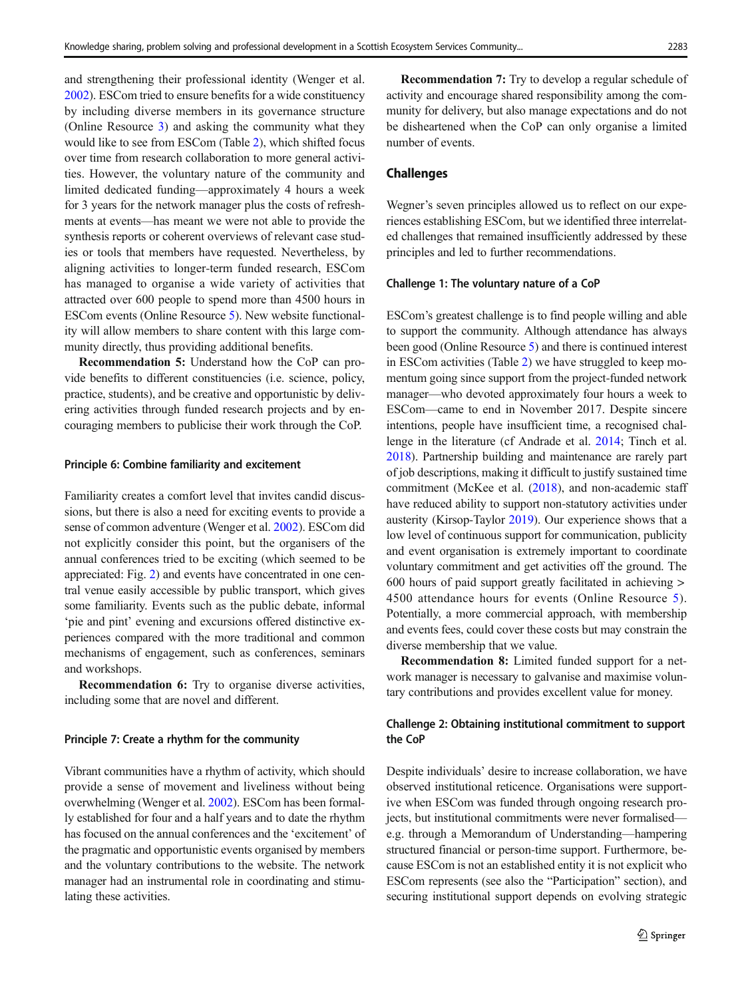and strengthening their professional identity (Wenger et al. [2002\)](#page-11-0). ESCom tried to ensure benefits for a wide constituency by including diverse members in its governance structure (Online Resource 3) and asking the community what they would like to see from ESCom (Table [2](#page-4-0)), which shifted focus over time from research collaboration to more general activities. However, the voluntary nature of the community and limited dedicated funding—approximately 4 hours a week for 3 years for the network manager plus the costs of refreshments at events—has meant we were not able to provide the synthesis reports or coherent overviews of relevant case studies or tools that members have requested. Nevertheless, by aligning activities to longer-term funded research, ESCom has managed to organise a wide variety of activities that attracted over 600 people to spend more than 4500 hours in ESCom events (Online Resource 5). New website functionality will allow members to share content with this large community directly, thus providing additional benefits.

Recommendation 5: Understand how the CoP can provide benefits to different constituencies (i.e. science, policy, practice, students), and be creative and opportunistic by delivering activities through funded research projects and by encouraging members to publicise their work through the CoP.

#### Principle 6: Combine familiarity and excitement

Familiarity creates a comfort level that invites candid discussions, but there is also a need for exciting events to provide a sense of common adventure (Wenger et al. [2002](#page-11-0)). ESCom did not explicitly consider this point, but the organisers of the annual conferences tried to be exciting (which seemed to be appreciated: Fig. [2](#page-6-0)) and events have concentrated in one central venue easily accessible by public transport, which gives some familiarity. Events such as the public debate, informal 'pie and pint' evening and excursions offered distinctive experiences compared with the more traditional and common mechanisms of engagement, such as conferences, seminars and workshops.

Recommendation 6: Try to organise diverse activities, including some that are novel and different.

## Principle 7: Create a rhythm for the community

Vibrant communities have a rhythm of activity, which should provide a sense of movement and liveliness without being overwhelming (Wenger et al. [2002](#page-11-0)). ESCom has been formally established for four and a half years and to date the rhythm has focused on the annual conferences and the 'excitement' of the pragmatic and opportunistic events organised by members and the voluntary contributions to the website. The network manager had an instrumental role in coordinating and stimulating these activities.

Recommendation 7: Try to develop a regular schedule of activity and encourage shared responsibility among the community for delivery, but also manage expectations and do not be disheartened when the CoP can only organise a limited number of events.

#### Challenges

Wegner's seven principles allowed us to reflect on our experiences establishing ESCom, but we identified three interrelated challenges that remained insufficiently addressed by these principles and led to further recommendations.

#### Challenge 1: The voluntary nature of a CoP

ESCom's greatest challenge is to find people willing and able to support the community. Although attendance has always been good (Online Resource 5) and there is continued interest in ESCom activities (Table [2](#page-4-0)) we have struggled to keep momentum going since support from the project-funded network manager—who devoted approximately four hours a week to ESCom—came to end in November 2017. Despite sincere intentions, people have insufficient time, a recognised challenge in the literature (cf Andrade et al. [2014;](#page-10-0) Tinch et al. [2018\)](#page-11-0). Partnership building and maintenance are rarely part of job descriptions, making it difficult to justify sustained time commitment (McKee et al. ([2018\)](#page-10-0), and non-academic staff have reduced ability to support non-statutory activities under austerity (Kirsop-Taylor [2019\)](#page-10-0). Our experience shows that a low level of continuous support for communication, publicity and event organisation is extremely important to coordinate voluntary commitment and get activities off the ground. The 600 hours of paid support greatly facilitated in achieving > 4500 attendance hours for events (Online Resource 5). Potentially, a more commercial approach, with membership and events fees, could cover these costs but may constrain the diverse membership that we value.

Recommendation 8: Limited funded support for a network manager is necessary to galvanise and maximise voluntary contributions and provides excellent value for money.

#### Challenge 2: Obtaining institutional commitment to support the CoP

Despite individuals' desire to increase collaboration, we have observed institutional reticence. Organisations were supportive when ESCom was funded through ongoing research projects, but institutional commitments were never formalised e.g. through a Memorandum of Understanding—hampering structured financial or person-time support. Furthermore, because ESCom is not an established entity it is not explicit who ESCom represents (see also the "Participation" section), and securing institutional support depends on evolving strategic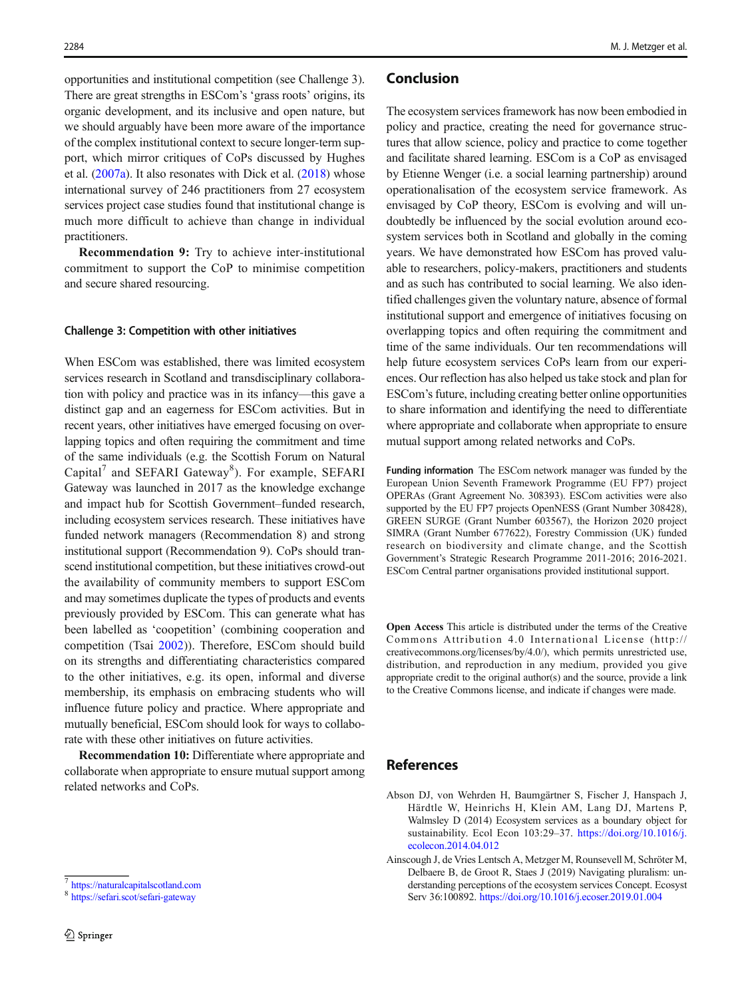<span id="page-9-0"></span>opportunities and institutional competition (see Challenge 3). There are great strengths in ESCom's 'grass roots' origins, its organic development, and its inclusive and open nature, but we should arguably have been more aware of the importance of the complex institutional context to secure longer-term support, which mirror critiques of CoPs discussed by Hughes et al. ([2007a](#page-10-0)). It also resonates with Dick et al. ([2018](#page-10-0)) whose international survey of 246 practitioners from 27 ecosystem services project case studies found that institutional change is much more difficult to achieve than change in individual practitioners.

Recommendation 9: Try to achieve inter-institutional commitment to support the CoP to minimise competition and secure shared resourcing.

#### Challenge 3: Competition with other initiatives

When ESCom was established, there was limited ecosystem services research in Scotland and transdisciplinary collaboration with policy and practice was in its infancy—this gave a distinct gap and an eagerness for ESCom activities. But in recent years, other initiatives have emerged focusing on overlapping topics and often requiring the commitment and time of the same individuals (e.g. the Scottish Forum on Natural Capital<sup>7</sup> and SEFARI Gateway<sup>8</sup>). For example, SEFARI Gateway was launched in 2017 as the knowledge exchange and impact hub for Scottish Government–funded research, including ecosystem services research. These initiatives have funded network managers (Recommendation 8) and strong institutional support (Recommendation 9). CoPs should transcend institutional competition, but these initiatives crowd-out the availability of community members to support ESCom and may sometimes duplicate the types of products and events previously provided by ESCom. This can generate what has been labelled as 'coopetition' (combining cooperation and competition (Tsai [2002\)](#page-11-0)). Therefore, ESCom should build on its strengths and differentiating characteristics compared to the other initiatives, e.g. its open, informal and diverse membership, its emphasis on embracing students who will influence future policy and practice. Where appropriate and mutually beneficial, ESCom should look for ways to collaborate with these other initiatives on future activities.

Recommendation 10: Differentiate where appropriate and collaborate when appropriate to ensure mutual support among related networks and CoPs.

#### Conclusion

The ecosystem services framework has now been embodied in policy and practice, creating the need for governance structures that allow science, policy and practice to come together and facilitate shared learning. ESCom is a CoP as envisaged by Etienne Wenger (i.e. a social learning partnership) around operationalisation of the ecosystem service framework. As envisaged by CoP theory, ESCom is evolving and will undoubtedly be influenced by the social evolution around ecosystem services both in Scotland and globally in the coming years. We have demonstrated how ESCom has proved valuable to researchers, policy-makers, practitioners and students and as such has contributed to social learning. We also identified challenges given the voluntary nature, absence of formal institutional support and emergence of initiatives focusing on overlapping topics and often requiring the commitment and time of the same individuals. Our ten recommendations will help future ecosystem services CoPs learn from our experiences. Our reflection has also helped us take stock and plan for ESCom's future, including creating better online opportunities to share information and identifying the need to differentiate where appropriate and collaborate when appropriate to ensure mutual support among related networks and CoPs.

Funding information The ESCom network manager was funded by the European Union Seventh Framework Programme (EU FP7) project OPERAs (Grant Agreement No. 308393). ESCom activities were also supported by the EU FP7 projects OpenNESS (Grant Number 308428), GREEN SURGE (Grant Number 603567), the Horizon 2020 project SIMRA (Grant Number 677622), Forestry Commission (UK) funded research on biodiversity and climate change, and the Scottish Government's Strategic Research Programme 2011-2016; 2016-2021. ESCom Central partner organisations provided institutional support.

Open Access This article is distributed under the terms of the Creative Commons Attribution 4.0 International License (http:// creativecommons.org/licenses/by/4.0/), which permits unrestricted use, distribution, and reproduction in any medium, provided you give appropriate credit to the original author(s) and the source, provide a link to the Creative Commons license, and indicate if changes were made.

# References

- Abson DJ, von Wehrden H, Baumgärtner S, Fischer J, Hanspach J, Härdtle W, Heinrichs H, Klein AM, Lang DJ, Martens P, Walmsley D (2014) Ecosystem services as a boundary object for sustainability. Ecol Econ 103:29–37. [https://doi.org/10.1016/j.](https://doi.org/10.1016/j.ecolecon.2014.04.012) [ecolecon.2014.04.012](https://doi.org/10.1016/j.ecolecon.2014.04.012)
- Ainscough J, de Vries Lentsch A, Metzger M, Rounsevell M, Schröter M, Delbaere B, de Groot R, Staes J (2019) Navigating pluralism: understanding perceptions of the ecosystem services Concept. Ecosyst Serv 36:100892. <https://doi.org/10.1016/j.ecoser.2019.01.004>

<sup>7</sup> <https://naturalcapitalscotland.com>

<sup>8</sup> <https://sefari.scot/sefari-gateway>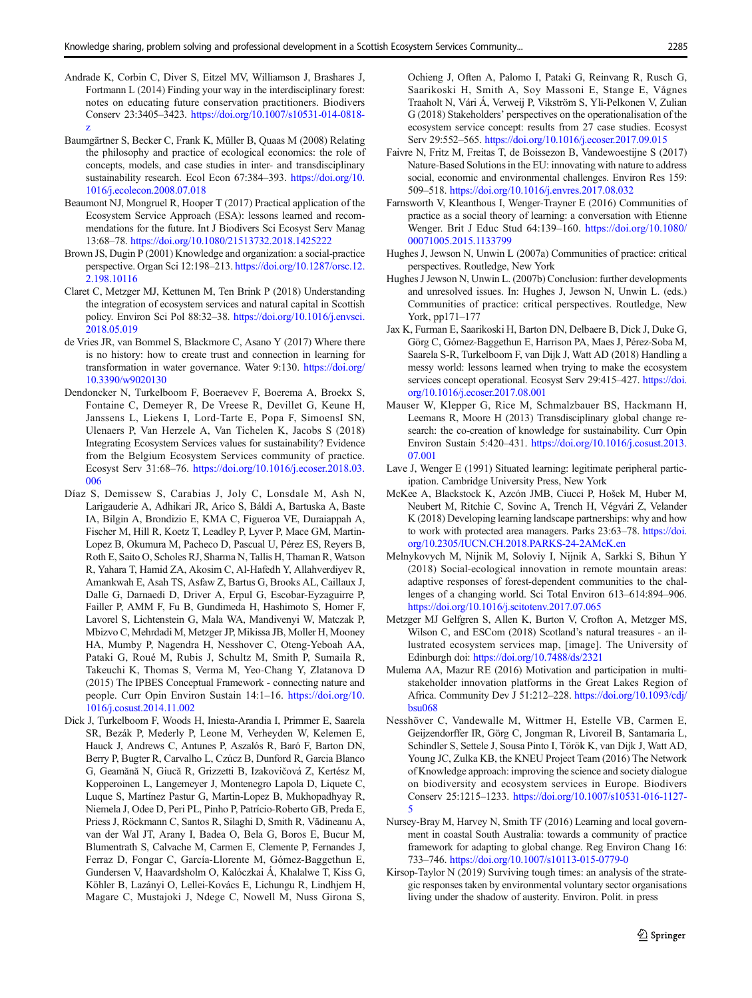- <span id="page-10-0"></span>Andrade K, Corbin C, Diver S, Eitzel MV, Williamson J, Brashares J, Fortmann L (2014) Finding your way in the interdisciplinary forest: notes on educating future conservation practitioners. Biodivers Conserv 23:3405–3423. [https://doi.org/10.1007/s10531-014-0818](https://doi.org/10.1007/s10531-014-0818-z) [z](https://doi.org/10.1007/s10531-014-0818-z)
- Baumgärtner S, Becker C, Frank K, Müller B, Quaas M (2008) Relating the philosophy and practice of ecological economics: the role of concepts, models, and case studies in inter- and transdisciplinary sustainability research. Ecol Econ 67:384–393. [https://doi.org/10.](https://doi.org/10.1016/j.ecolecon.2008.07.018) [1016/j.ecolecon.2008.07.018](https://doi.org/10.1016/j.ecolecon.2008.07.018)
- Beaumont NJ, Mongruel R, Hooper T (2017) Practical application of the Ecosystem Service Approach (ESA): lessons learned and recommendations for the future. Int J Biodivers Sci Ecosyst Serv Manag 13:68–78. <https://doi.org/10.1080/21513732.2018.1425222>
- Brown JS, Dugin P (2001) Knowledge and organization: a social-practice perspective. Organ Sci 12:198–213. [https://doi.org/10.1287/orsc.12.](https://doi.org/10.1287/orsc.12.2.198.10116) [2.198.10116](https://doi.org/10.1287/orsc.12.2.198.10116)
- Claret C, Metzger MJ, Kettunen M, Ten Brink P (2018) Understanding the integration of ecosystem services and natural capital in Scottish policy. Environ Sci Pol 88:32–38. [https://doi.org/10.1016/j.envsci.](https://doi.org/10.1016/j.envsci.2018.05.019) [2018.05.019](https://doi.org/10.1016/j.envsci.2018.05.019)
- de Vries JR, van Bommel S, Blackmore C, Asano Y (2017) Where there is no history: how to create trust and connection in learning for transformation in water governance. Water 9:130. [https://doi.org/](https://doi.org/10.3390/w9020130) [10.3390/w9020130](https://doi.org/10.3390/w9020130)
- Dendoncker N, Turkelboom F, Boeraevev F, Boerema A, Broekx S, Fontaine C, Demeyer R, De Vreese R, Devillet G, Keune H, Janssens L, Liekens I, Lord-Tarte E, Popa F, SimoensI SN, Ulenaers P, Van Herzele A, Van Tichelen K, Jacobs S (2018) Integrating Ecosystem Services values for sustainability? Evidence from the Belgium Ecosystem Services community of practice. Ecosyst Serv 31:68–76. [https://doi.org/10.1016/j.ecoser.2018.03.](https://doi.org/10.1016/j.ecoser.2018.03.006) [006](https://doi.org/10.1016/j.ecoser.2018.03.006)
- Díaz S, Demissew S, Carabias J, Joly C, Lonsdale M, Ash N, Larigauderie A, Adhikari JR, Arico S, Báldi A, Bartuska A, Baste IA, Bilgin A, Brondizio E, KMA C, Figueroa VE, Duraiappah A, Fischer M, Hill R, Koetz T, Leadley P, Lyver P, Mace GM, Martin-Lopez B, Okumura M, Pacheco D, Pascual U, Pérez ES, Reyers B, Roth E, Saito O, Scholes RJ, Sharma N, Tallis H, Thaman R, Watson R, Yahara T, Hamid ZA, Akosim C, Al-Hafedh Y, Allahverdiyev R, Amankwah E, Asah TS, Asfaw Z, Bartus G, Brooks AL, Caillaux J, Dalle G, Darnaedi D, Driver A, Erpul G, Escobar-Eyzaguirre P, Failler P, AMM F, Fu B, Gundimeda H, Hashimoto S, Homer F, Lavorel S, Lichtenstein G, Mala WA, Mandivenyi W, Matczak P, Mbizvo C, Mehrdadi M, Metzger JP, Mikissa JB, Moller H, Mooney HA, Mumby P, Nagendra H, Nesshover C, Oteng-Yeboah AA, Pataki G, Roué M, Rubis J, Schultz M, Smith P, Sumaila R, Takeuchi K, Thomas S, Verma M, Yeo-Chang Y, Zlatanova D (2015) The IPBES Conceptual Framework - connecting nature and people. Curr Opin Environ Sustain 14:1–16. [https://doi.org/10.](https://doi.org/10.1016/j.cosust.2014.11.002) [1016/j.cosust.2014.11.002](https://doi.org/10.1016/j.cosust.2014.11.002)
- Dick J, Turkelboom F, Woods H, Iniesta-Arandia I, Primmer E, Saarela SR, Bezák P, Mederly P, Leone M, Verheyden W, Kelemen E, Hauck J, Andrews C, Antunes P, Aszalós R, Baró F, Barton DN, Berry P, Bugter R, Carvalho L, Czúcz B, Dunford R, Garcia Blanco G, Geamănă N, Giucă R, Grizzetti B, Izakovičová Z, Kertész M, Kopperoinen L, Langemeyer J, Montenegro Lapola D, Liquete C, Luque S, Martínez Pastur G, Martin-Lopez B, Mukhopadhyay R, Niemela J, Odee D, Peri PL, Pinho P, Patrício-Roberto GB, Preda E, Priess J, Röckmann C, Santos R, Silaghi D, Smith R, Vădineanu A, van der Wal JT, Arany I, Badea O, Bela G, Boros E, Bucur M, Blumentrath S, Calvache M, Carmen E, Clemente P, Fernandes J, Ferraz D, Fongar C, García-Llorente M, Gómez-Baggethun E, Gundersen V, Haavardsholm O, Kalóczkai Á, Khalalwe T, Kiss G, Köhler B, Lazányi O, Lellei-Kovács E, Lichungu R, Lindhjem H, Magare C, Mustajoki J, Ndege C, Nowell M, Nuss Girona S,

Ochieng J, Often A, Palomo I, Pataki G, Reinvang R, Rusch G, Saarikoski H, Smith A, Soy Massoni E, Stange E, Vågnes Traaholt N, Vári Á, Verweij P, Vikström S, Yli-Pelkonen V, Zulian G (2018) Stakeholders' perspectives on the operationalisation of the ecosystem service concept: results from 27 case studies. Ecosyst Serv 29:552–565. <https://doi.org/10.1016/j.ecoser.2017.09.015>

- Faivre N, Fritz M, Freitas T, de Boissezon B, Vandewoestijne S (2017) Nature-Based Solutions in the EU: innovating with nature to address social, economic and environmental challenges. Environ Res 159: 509–518. <https://doi.org/10.1016/j.envres.2017.08.032>
- Farnsworth V, Kleanthous I, Wenger-Trayner E (2016) Communities of practice as a social theory of learning: a conversation with Etienne Wenger. Brit J Educ Stud 64:139–160. [https://doi.org/10.1080/](https://doi.org/10.1080/00071005.2015.1133799) [00071005.2015.1133799](https://doi.org/10.1080/00071005.2015.1133799)
- Hughes J, Jewson N, Unwin L (2007a) Communities of practice: critical perspectives. Routledge, New York
- Hughes J Jewson N, Unwin L. (2007b) Conclusion: further developments and unresolved issues. In: Hughes J, Jewson N, Unwin L. (eds.) Communities of practice: critical perspectives. Routledge, New York, pp171–177
- Jax K, Furman E, Saarikoski H, Barton DN, Delbaere B, Dick J, Duke G, Görg C, Gómez-Baggethun E, Harrison PA, Maes J, Pérez-Soba M, Saarela S-R, Turkelboom F, van Dijk J, Watt AD (2018) Handling a messy world: lessons learned when trying to make the ecosystem services concept operational. Ecosyst Serv 29:415-427. [https://doi.](https://doi.org/10.1016/j.ecoser.2017.08.001) [org/10.1016/j.ecoser.2017.08.001](https://doi.org/10.1016/j.ecoser.2017.08.001)
- Mauser W, Klepper G, Rice M, Schmalzbauer BS, Hackmann H, Leemans R, Moore H (2013) Transdisciplinary global change research: the co-creation of knowledge for sustainability. Curr Opin Environ Sustain 5:420–431. [https://doi.org/10.1016/j.cosust.2013.](https://doi.org/10.1016/j.cosust.2013.07.001) [07.001](https://doi.org/10.1016/j.cosust.2013.07.001)
- Lave J, Wenger E (1991) Situated learning: legitimate peripheral participation. Cambridge University Press, New York
- McKee A, Blackstock K, Azcón JMB, Ciucci P, Hošek M, Huber M, Neubert M, Ritchie C, Sovinc A, Trench H, Végvári Z, Velander K (2018) Developing learning landscape partnerships: why and how to work with protected area managers. Parks 23:63–78. [https://doi.](https://doi.org/10.2305/IUCN.CH.2018.PARKS-24-2AMcK.en) [org/10.2305/IUCN.CH.2018.PARKS-24-2AMcK.en](https://doi.org/10.2305/IUCN.CH.2018.PARKS-24-2AMcK.en)
- Melnykovych M, Nijnik M, Soloviy I, Nijnik A, Sarkki S, Bihun Y (2018) Social-ecological innovation in remote mountain areas: adaptive responses of forest-dependent communities to the challenges of a changing world. Sci Total Environ 613–614:894–906. <https://doi.org/10.1016/j.scitotenv.2017.07.065>
- Metzger MJ Gelfgren S, Allen K, Burton V, Crofton A, Metzger MS, Wilson C, and ESCom (2018) Scotland's natural treasures - an illustrated ecosystem services map, [image]. The University of Edinburgh doi: <https://doi.org/10.7488/ds/2321>
- Mulema AA, Mazur RE (2016) Motivation and participation in multistakeholder innovation platforms in the Great Lakes Region of Africa. Community Dev J 51:212–228. [https://doi.org/10.1093/cdj/](https://doi.org/10.1093/cdj/bsu068) [bsu068](https://doi.org/10.1093/cdj/bsu068)
- Nesshöver C, Vandewalle M, Wittmer H, Estelle VB, Carmen E, Geijzendorffer IR, Görg C, Jongman R, Livoreil B, Santamaria L, Schindler S, Settele J, Sousa Pinto I, Török K, van Dijk J, Watt AD, Young JC, Zulka KB, the KNEU Project Team (2016) The Network of Knowledge approach: improving the science and society dialogue on biodiversity and ecosystem services in Europe. Biodivers Conserv 25:1215–1233. [https://doi.org/10.1007/s10531-016-1127-](https://doi.org/10.1007/s10531-016-1127-5) [5](https://doi.org/10.1007/s10531-016-1127-5)
- Nursey-Bray M, Harvey N, Smith TF (2016) Learning and local government in coastal South Australia: towards a community of practice framework for adapting to global change. Reg Environ Chang 16: 733–746. <https://doi.org/10.1007/s10113-015-0779-0>
- Kirsop-Taylor N (2019) Surviving tough times: an analysis of the strategic responses taken by environmental voluntary sector organisations living under the shadow of austerity. Environ. Polit. in press